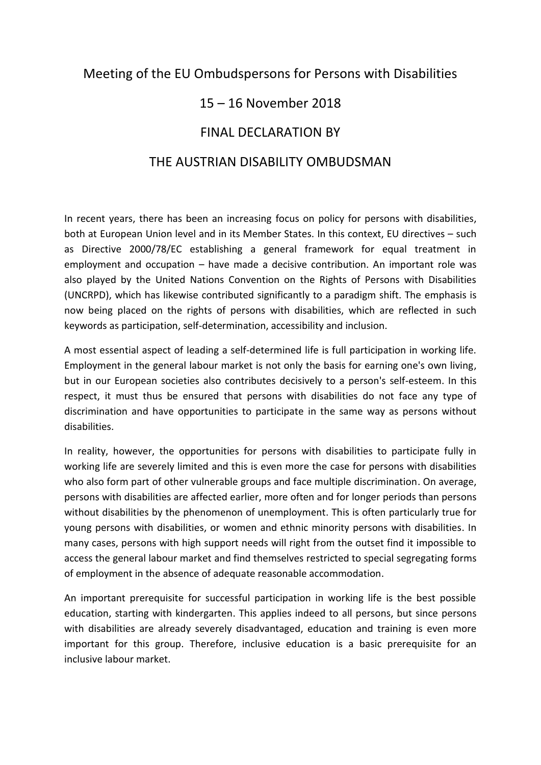## Meeting of the EU Ombudspersons for Persons with Disabilities

## 15 – 16 November 2018

## FINAL DECLARATION BY

## THE AUSTRIAN DISABILITY OMBUDSMAN

In recent years, there has been an increasing focus on policy for persons with disabilities, both at European Union level and in its Member States. In this context, EU directives – such as Directive 2000/78/EC establishing a general framework for equal treatment in employment and occupation – have made a decisive contribution. An important role was also played by the United Nations Convention on the Rights of Persons with Disabilities (UNCRPD), which has likewise contributed significantly to a paradigm shift. The emphasis is now being placed on the rights of persons with disabilities, which are reflected in such keywords as participation, self-determination, accessibility and inclusion.

A most essential aspect of leading a self-determined life is full participation in working life. Employment in the general labour market is not only the basis for earning one's own living, but in our European societies also contributes decisively to a person's self-esteem. In this respect, it must thus be ensured that persons with disabilities do not face any type of discrimination and have opportunities to participate in the same way as persons without disabilities.

In reality, however, the opportunities for persons with disabilities to participate fully in working life are severely limited and this is even more the case for persons with disabilities who also form part of other vulnerable groups and face multiple discrimination. On average, persons with disabilities are affected earlier, more often and for longer periods than persons without disabilities by the phenomenon of unemployment. This is often particularly true for young persons with disabilities, or women and ethnic minority persons with disabilities. In many cases, persons with high support needs will right from the outset find it impossible to access the general labour market and find themselves restricted to special segregating forms of employment in the absence of adequate reasonable accommodation.

An important prerequisite for successful participation in working life is the best possible education, starting with kindergarten. This applies indeed to all persons, but since persons with disabilities are already severely disadvantaged, education and training is even more important for this group. Therefore, inclusive education is a basic prerequisite for an inclusive labour market.